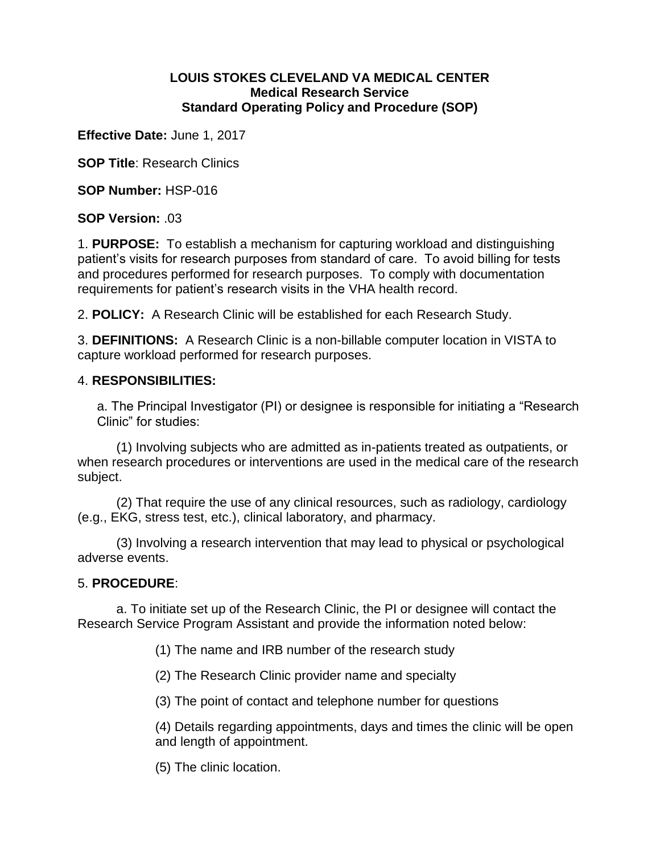## **LOUIS STOKES CLEVELAND VA MEDICAL CENTER Medical Research Service Standard Operating Policy and Procedure (SOP)**

**Effective Date:** June 1, 2017

**SOP Title**: Research Clinics

**SOP Number:** HSP-016

**SOP Version:** .03

1. **PURPOSE:** To establish a mechanism for capturing workload and distinguishing patient's visits for research purposes from standard of care. To avoid billing for tests and procedures performed for research purposes. To comply with documentation requirements for patient's research visits in the VHA health record.

2. **POLICY:** A Research Clinic will be established for each Research Study.

3. **DEFINITIONS:** A Research Clinic is a non-billable computer location in VISTA to capture workload performed for research purposes.

## 4. **RESPONSIBILITIES:**

a. The Principal Investigator (PI) or designee is responsible for initiating a "Research Clinic" for studies:

(1) Involving subjects who are admitted as in-patients treated as outpatients, or when research procedures or interventions are used in the medical care of the research subject.

(2) That require the use of any clinical resources, such as radiology, cardiology (e.g., EKG, stress test, etc.), clinical laboratory, and pharmacy.

(3) Involving a research intervention that may lead to physical or psychological adverse events.

## 5. **PROCEDURE**:

a. To initiate set up of the Research Clinic, the PI or designee will contact the Research Service Program Assistant and provide the information noted below:

(1) The name and IRB number of the research study

(2) The Research Clinic provider name and specialty

(3) The point of contact and telephone number for questions

(4) Details regarding appointments, days and times the clinic will be open and length of appointment.

(5) The clinic location.